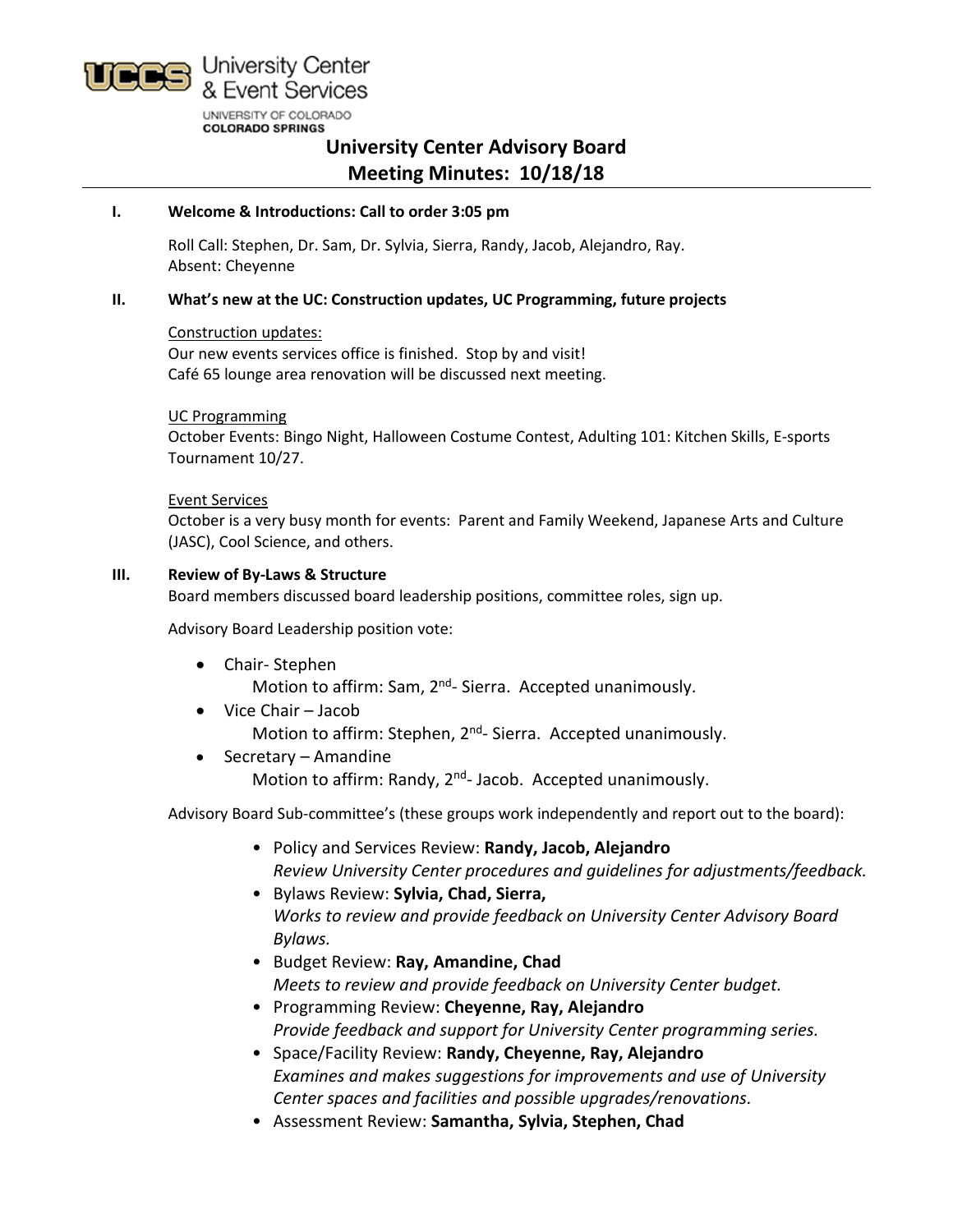

**University Center Advisory Board Meeting Minutes: 10/18/18**

# **I. Welcome & Introductions: Call to order 3:05 pm**

Roll Call: Stephen, Dr. Sam, Dr. Sylvia, Sierra, Randy, Jacob, Alejandro, Ray. Absent: Cheyenne

# **II. What's new at the UC: Construction updates, UC Programming, future projects**

# Construction updates:

Our new events services office is finished. Stop by and visit! Café 65 lounge area renovation will be discussed next meeting.

# UC Programming

October Events: Bingo Night, Halloween Costume Contest, Adulting 101: Kitchen Skills, E-sports Tournament 10/27.

### Event Services

October is a very busy month for events: Parent and Family Weekend, Japanese Arts and Culture (JASC), Cool Science, and others.

# **III. Review of By-Laws & Structure**

Board members discussed board leadership positions, committee roles, sign up.

Advisory Board Leadership position vote:

- Chair- Stephen Motion to affirm: Sam, 2<sup>nd</sup>- Sierra. Accepted unanimously.
- Vice Chair Jacob Motion to affirm: Stephen, 2<sup>nd</sup>- Sierra. Accepted unanimously.
- Secretary Amandine Motion to affirm: Randy, 2<sup>nd</sup>- Jacob. Accepted unanimously.

Advisory Board Sub-committee's (these groups work independently and report out to the board):

- Policy and Services Review: **Randy, Jacob, Alejandro** *Review University Center procedures and guidelines for adjustments/feedback.*
- Bylaws Review: **Sylvia, Chad, Sierra,** *Works to review and provide feedback on University Center Advisory Board Bylaws.*
- Budget Review: **Ray, Amandine, Chad** *Meets to review and provide feedback on University Center budget.*
- Programming Review: **Cheyenne, Ray, Alejandro** *Provide feedback and support for University Center programming series.*
- Space/Facility Review: **Randy, Cheyenne, Ray, Alejandro** *Examines and makes suggestions for improvements and use of University Center spaces and facilities and possible upgrades/renovations.*
- Assessment Review: **Samantha, Sylvia, Stephen, Chad**